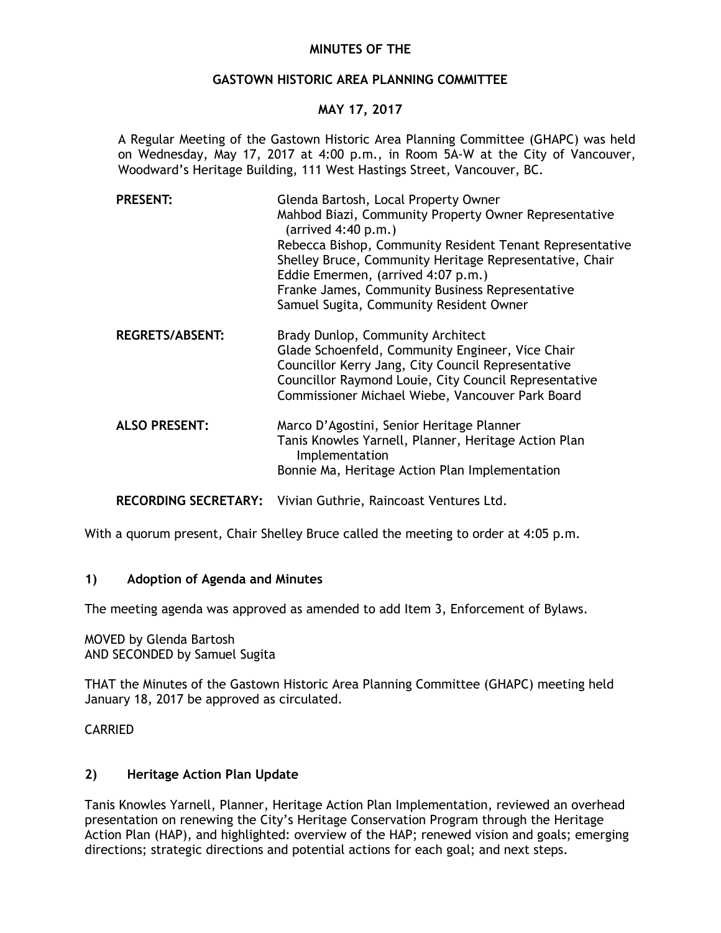# **MINUTES OF THE**

## **GASTOWN HISTORIC AREA PLANNING COMMITTEE**

# **MAY 17, 2017**

A Regular Meeting of the Gastown Historic Area Planning Committee (GHAPC) was held on Wednesday, May 17, 2017 at 4:00 p.m., in Room 5A-W at the City of Vancouver, Woodward's Heritage Building, 111 West Hastings Street, Vancouver, BC.

| <b>PRESENT:</b>        | Glenda Bartosh, Local Property Owner<br>Mahbod Biazi, Community Property Owner Representative<br>$(\text{arrived }4:40 \text{ p.m.})$<br>Rebecca Bishop, Community Resident Tenant Representative<br>Shelley Bruce, Community Heritage Representative, Chair<br>Eddie Emermen, (arrived 4:07 p.m.)<br>Franke James, Community Business Representative<br>Samuel Sugita, Community Resident Owner |
|------------------------|--------------------------------------------------------------------------------------------------------------------------------------------------------------------------------------------------------------------------------------------------------------------------------------------------------------------------------------------------------------------------------------------------|
| <b>REGRETS/ABSENT:</b> | Brady Dunlop, Community Architect<br>Glade Schoenfeld, Community Engineer, Vice Chair<br>Councillor Kerry Jang, City Council Representative<br>Councillor Raymond Louie, City Council Representative<br>Commissioner Michael Wiebe, Vancouver Park Board                                                                                                                                         |
| <b>ALSO PRESENT:</b>   | Marco D'Agostini, Senior Heritage Planner<br>Tanis Knowles Yarnell, Planner, Heritage Action Plan                                                                                                                                                                                                                                                                                                |

Bonnie Ma, Heritage Action Plan Implementation

**RECORDING SECRETARY:** Vivian Guthrie, Raincoast Ventures Ltd.

With a quorum present, Chair Shelley Bruce called the meeting to order at 4:05 p.m.

Implementation

### **1) Adoption of Agenda and Minutes**

The meeting agenda was approved as amended to add Item 3, Enforcement of Bylaws.

MOVED by Glenda Bartosh AND SECONDED by Samuel Sugita

THAT the Minutes of the Gastown Historic Area Planning Committee (GHAPC) meeting held January 18, 2017 be approved as circulated.

### CARRIED

### **2) Heritage Action Plan Update**

Tanis Knowles Yarnell, Planner, Heritage Action Plan Implementation, reviewed an overhead presentation on renewing the City's Heritage Conservation Program through the Heritage Action Plan (HAP), and highlighted: overview of the HAP; renewed vision and goals; emerging directions; strategic directions and potential actions for each goal; and next steps.